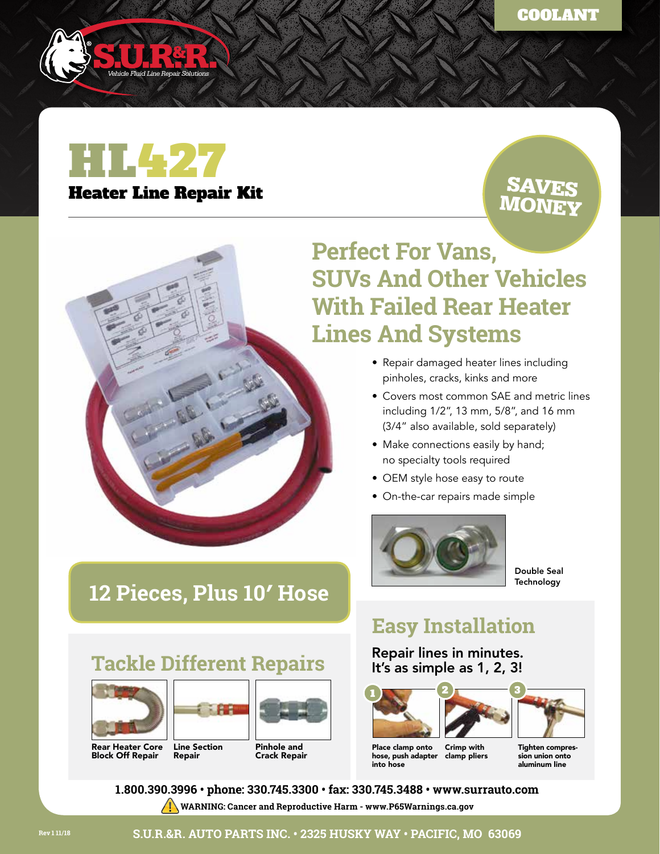

# HL427 Heater Line Repair Kit

### SAVES MONEY

## **Perfect For Vans, SUVs And Other Vehicles With Failed Rear Heater Lines And Systems**

- Repair damaged heater lines including pinholes, cracks, kinks and more
- Covers most common SAE and metric lines including 1/2", 13 mm, 5/8", and 16 mm (3/4" also available, sold separately)
- Make connections easily by hand; no specialty tools required
- OEM style hose easy to route
- On-the-car repairs made simple



Double Seal **Technology** 

### **Easy Installation**

### Repair lines in minutes. It's as simple as 1, 2, 3!



Place clamp onto hose, push adapter clamp pliers into hose Crimp with

Tighten compression union onto aluminum line

**1.800.390.3996 • phone: 330.745.3300 • fax: 330.745.3488 • www.surrauto.com**

## **12 Pieces, Plus 10′ Hose**

## **Tackle Different Repairs**





Rear Heater Core Block Off Repair







Pinhole and Crack Repair

**S.U.R.&R. AUTO PARTS INC. • 2325 HUSKY WAY • PACIFIC, MO 63069**